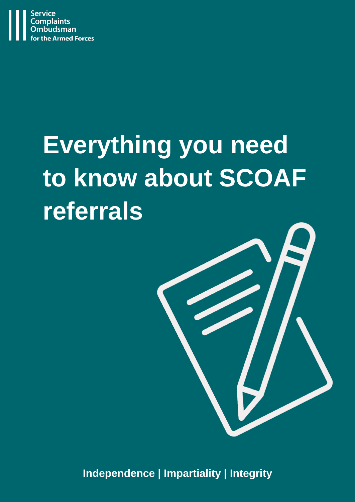

# **Everything you need to know about SCOAF referrals**



**Independence | Impartiality | Integrity**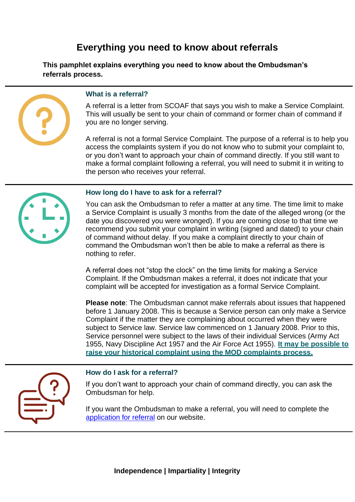# **Everything you need to know about referrals**

**This pamphlet explains everything you need to know about the Ombudsman's referrals process.** 



## **What is a referral?**

A referral is a letter from SCOAF that says you wish to make a Service Complaint. This will usually be sent to your chain of command or former chain of command if you are no longer serving.

 A referral is not a formal Service Complaint. The purpose of a referral is to help you access the complaints system if you do not know who to submit your complaint to, or you don't want to approach your chain of command directly. If you still want to make a formal complaint following a referral, you will need to submit it in writing to the person who receives your referral.



#### **How long do I have to ask for a referral?**

 You can ask the Ombudsman to refer a matter at any time. The time limit to make a Service Complaint is usually 3 months from the date of the alleged wrong (or the date you discovered you were wronged). If you are coming close to that time we recommend you submit your complaint in writing (signed and dated) to your chain of command without delay. If you make a complaint directly to your chain of command the Ombudsman won't then be able to make a referral as there is nothing to refer.

 complaint will be accepted for investigation as a formal Service Complaint. A referral does not "stop the clock" on the time limits for making a Service Complaint. If the Ombudsman makes a referral, it does not indicate that your

**Please note**: The Ombudsman cannot make referrals about issues that happened before 1 January 2008. This is because a Service person can only make a Service Complaint if the matter they are complaining about occurred when they were subject to Service law. Service law commenced on 1 January 2008. Prior to this, Service personnel were subject to the laws of their individual Services (Army Act 1955, Navy Discipline Act 1957 and the Air Force Act 1955). **[It may be possible to](https://www.gov.uk/government/organisations/ministry-of-defence/about/complaints-procedure)  [raise your historical complaint using the MOD complaints process.](https://www.gov.uk/government/organisations/ministry-of-defence/about/complaints-procedure)** 



#### **How do I ask for a referral?**

If you don't want to approach your chain of command directly, you can ask the Ombudsman for help.

 If you want the Ombudsman to make a referral, you will need to complete the [application for referral o](https://www.scoaf.org.uk/download/3878/)n our website.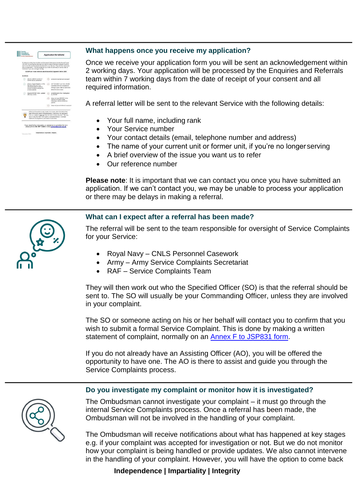|            | A referral to a latter from the Barwon Constants Oridisatorian for the Annexi Forces<br>(SCOMF) to your Service that says you want to make a Service Complant, it will be<br>who will deal with it. This will usually be your shall not command or former chain of<br>commend if you get no longer serving. |    | sent to the Service Constants secretarist for your Service. They will then determine :                                                                                                                                      |
|------------|-------------------------------------------------------------------------------------------------------------------------------------------------------------------------------------------------------------------------------------------------------------------------------------------------------------|----|-----------------------------------------------------------------------------------------------------------------------------------------------------------------------------------------------------------------------------|
|            | SCOAF cas't reake referrals about insues that happened before 2008.                                                                                                                                                                                                                                         |    |                                                                                                                                                                                                                             |
| A referral |                                                                                                                                                                                                                                                                                                             |    |                                                                                                                                                                                                                             |
|            | can be made for current or<br>former Service personnel                                                                                                                                                                                                                                                      |    | real a formal Service Constraint                                                                                                                                                                                            |
|            | places a legal obligation on the<br>Ranying to first out it ma-<br>ingle-ideal works formake at<br>formal complaint and pat the<br>process stored                                                                                                                                                           | Cκ | carl be made fivou have already<br>submitted a formal complaint lin-<br>writings to your chain of command<br>shout the same secue                                                                                           |
|            | requires SCOAF to be updated<br>after key gyerde.                                                                                                                                                                                                                                                           |    | is not the start of an investigation<br>ty SCOAT                                                                                                                                                                            |
|            |                                                                                                                                                                                                                                                                                                             |    | tious net reaun SCO4F thana-<br>that any complaint made<br>solicieds larrelers a privatel<br><b>Leifracht</b>                                                                                                               |
|            |                                                                                                                                                                                                                                                                                                             |    | does not prevare whomes secondary                                                                                                                                                                                           |
|            | way to "stop the clock" is to submit a consoleled Annex F or written<br>statemen of complexities your shale of continued                                                                                                                                                                                    |    | A Service Complaint usually needs to be made within 3 months of the<br>date of the wrong being consplained about. Submitting this application:<br>Fann, or a referral does not rate the clock" on this time limit. The only |

# **What happens once you receive my application?**

 team within 7 working days from the date of receipt of your consent and all Once we receive your application form you will be sent an acknowledgement within 2 working days. Your application will be processed by the Enquiries and Referrals required information.

A referral letter will be sent to the relevant Service with the following details:

- Your full name, including rank
- Your Service number
- Your contact details (email, telephone number and address)
- The name of your current unit or former unit, if you're no longer serving
- A brief overview of the issue you want us to refer
- Our reference number

**Please note**: It is important that we can contact you once you have submitted an application. If we can't contact you, we may be unable to process your application or there may be delays in making a referral.

# **What can I expect after a referral has been made?**

 The referral will be sent to the team responsible for oversight of Service Complaints for your Service:

- Royal Navy CNLS Personnel Casework
- Army Army Service Complaints Secretariat
- RAF Service Complaints Team

 They will then work out who the Specified Officer (SO) is that the referral should be sent to. The SO will usually be your Commanding Officer, unless they are involved in your complaint.

 The SO or someone acting on his or her behalf will contact you to confirm that you wish to submit a formal Service Complaint. This is done by making a written statement of complaint, normally on an **Annex F to JSP831 form**.

If you do not already have an Assisting Officer (AO), you will be offered the opportunity to have one. The AO is there to assist and guide you through the Service Complaints process.

# **Do you investigate my complaint or monitor how it is investigated?**



 The Ombudsman cannot investigate your complaint – it must go through the internal Service Complaints process. Once a referral has been made, the Ombudsman will not be involved in the handling of your complaint.

 in the handling of your complaint. However, you will have the option to come back The Ombudsman will receive notifications about what has happened at key stages e.g. if your complaint was accepted for investigation or not. But we do not monitor how your complaint is being handled or provide updates. We also cannot intervene

**Independence | Impartiality | Integrity**